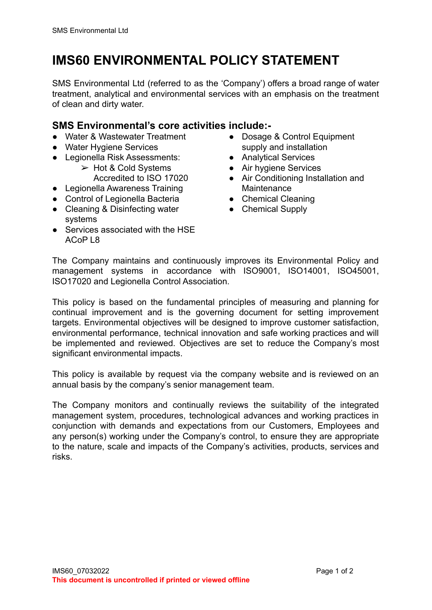## **IMS60 ENVIRONMENTAL POLICY STATEMENT**

SMS Environmental Ltd (referred to as the 'Company') offers a broad range of water treatment, analytical and environmental services with an emphasis on the treatment of clean and dirty water.

## **SMS Environmental's core activities include:-**

- Water & Wastewater Treatment
- Water Hygiene Services
- Legionella Risk Assessments:
	- $\geq$  Hot & Cold Systems Accredited to ISO 17020
- Legionella Awareness Training
- Control of Legionella Bacteria
- Cleaning & Disinfecting water systems
- Services associated with the HSE ACoP L8
- Dosage & Control Equipment supply and installation
- Analytical Services
- Air hygiene Services
- Air Conditioning Installation and Maintenance
- Chemical Cleaning
- Chemical Supply

The Company maintains and continuously improves its Environmental Policy and management systems in accordance with ISO9001, ISO14001, ISO45001, ISO17020 and Legionella Control Association.

This policy is based on the fundamental principles of measuring and planning for continual improvement and is the governing document for setting improvement targets. Environmental objectives will be designed to improve customer satisfaction, environmental performance, technical innovation and safe working practices and will be implemented and reviewed. Objectives are set to reduce the Company's most significant environmental impacts.

This policy is available by request via the company website and is reviewed on an annual basis by the company's senior management team.

The Company monitors and continually reviews the suitability of the integrated management system, procedures, technological advances and working practices in conjunction with demands and expectations from our Customers, Employees and any person(s) working under the Company's control, to ensure they are appropriate to the nature, scale and impacts of the Company's activities, products, services and risks.